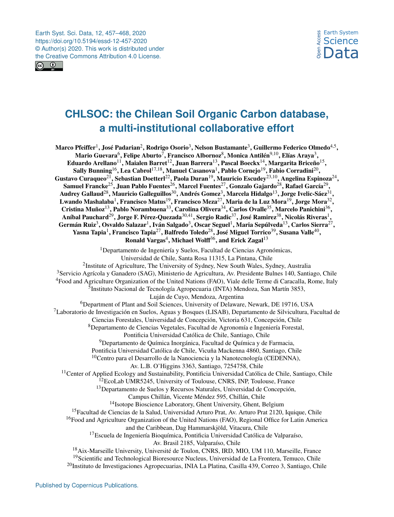Earth Syst. Sci. Data, 12, 457–468, 2020 https://doi.org/10.5194/essd-12-457-2020 © Author(s) 2020. This work is distributed under the Creative Commons Attribution 4.0 License.



# **CHLSOC: the Chilean Soil Organic Carbon database, a multi-institutional collaborative effort**

<span id="page-0-0"></span>Marco Pfeiffer $^1$  $^1$ , José Padarian $^2$  $^2$ , Rodrigo Osorio $^3$  $^3$ , Nelson Bustamante $^3$ , Guillermo Federico Olmedo $^{4,5},$  $^{4,5},$  $^{4,5},$ Mario Guevara $^6$  $^6$ , Felipe Aburto $^7$  $^7$ , Francisco Albornoz $^8$  $^8$ , Monica Antilén $^{9,10}$  $^{9,10}$  $^{9,10}$ , Elías Araya $^3,$  $^3,$  $^3,$ Eduardo Arellano $^{11}$  $^{11}$  $^{11}$ , Maialen Barret $^{12}$  $^{12}$  $^{12}$ , Juan Barrera $^{13}$  $^{13}$  $^{13}$ , Pascal Boeckx $^{14}$  $^{14}$  $^{14}$ , Margarita Briceño $^{15}$  $^{15}$  $^{15}$ , Sally Bunning $^{16}$  $^{16}$  $^{16}$ , Lea Cabrol $^{17,18}$  $^{17,18}$  $^{17,18}$ , Manuel Casanova $^1$  $^1$ , Pablo Cornejo $^{19}$  $^{19}$  $^{19}$ , Fabio Corradini $^{20},$  $^{20},$  $^{20},$ Gustavo Curaqueo $^{21}$  $^{21}$  $^{21}$ , Sebastian Doetterl $^{22}$  $^{22}$  $^{22}$ , Paola Duran $^{19}$  $^{19}$  $^{19}$ , Mauricio Escudey $^{23,10}$  $^{23,10}$  $^{23,10}$ , Angelina Espinoza $^{24},$  $^{24},$  $^{24},$ Samuel Francke $^{25}$  $^{25}$  $^{25}$ , Juan Pablo Fuentes $^{26}$  $^{26}$  $^{26}$ , Marcel Fuentes $^{27}$  $^{27}$  $^{27}$ , Gonzalo Gajardo $^{28}$  $^{28}$  $^{28}$ , Rafael García $^{29}$  $^{29}$  $^{29}$ , Audrey Gallaud $^{28}$  $^{28}$  $^{28}$ , Mauricio Galleguillos $^{30}$  $^{30}$  $^{30}$ , Andrés Gomez $^3$  $^3$ , Marcela Hidalgo $^{13}$  $^{13}$  $^{13}$ , Jorge Ivelic-Sáez $^{31},$  $^{31},$  $^{31},$ Lwando Mashalaba $^1$  $^1$ , Francisco Matus $^{19}$  $^{19}$  $^{19}$ , Francisco Meza $^{27}$  $^{27}$  $^{27}$ , Maria de la Luz Mora $^{19}$ , Jorge Mora $^{32},$  $^{32},$  $^{32},$ Cristina Muñoz<sup>[13](#page-0-0)</sup>, Pablo Norambuena<sup>[33](#page-0-0)</sup>, Carolina Olivera<sup>[34](#page-0-0)</sup>, Carlos Ovalle<sup>[35](#page-0-0)</sup>, Marcelo Panichini<sup>[36](#page-0-0)</sup>, Aníbal Pauchard $^{29}$  $^{29}$  $^{29}$ , Jorge F. Pérez-Quezada $^{30,41}$  $^{30,41}$  $^{30,41}$ , Sergio Radic $^{37}$  $^{37}$  $^{37}$ , José Ramirez $^{38}$  $^{38}$  $^{38}$ , Nicolás Riveras $^{1},$  $^{1},$  $^{1},$ Germán Ruiz $^3$  $^3$ , Osvaldo Salazar $^1$  $^1$ , Iván Salgado $^3$ , Oscar Seguel $^1$ , Maria Sepúlveda $^{13}$  $^{13}$  $^{13}$ , Carlos Sierra $^{27},$  $^{27},$  $^{27},$ Yasna Tapia $^1$  $^1$ , Francisco Tapia $^{27}$  $^{27}$  $^{27}$ , Balfredo Toledo $^{28}$  $^{28}$  $^{28}$ , José Miguel Torrico $^{39}$  $^{39}$  $^{39}$ , Susana Valle $^{40},$  $^{40},$  $^{40},$ Ronald Vargas<sup>[4](#page-0-0)</sup>, Michael Wolff<sup>[36](#page-0-0)</sup>, and Erick Zagal<sup>[13](#page-0-0)</sup> <sup>1</sup>Departamento de Ingeniería y Suelos, Facultad de Ciencias Agronómicas, Universidad de Chile, Santa Rosa 11315, La Pintana, Chile <sup>2</sup>Institute of Agriculture, The University of Sydney, New South Wales, Sydney, Australia <sup>3</sup>Servicio Agrícola y Ganadero (SAG), Ministerio de Agricultura, Av. Presidente Bulnes 140, Santiago, Chile <sup>4</sup>Food and Agriculture Organization of the United Nations (FAO), Viale delle Terme di Caracalla, Rome, Italy <sup>5</sup>Instituto Nacional de Tecnología Agropecuaria (INTA) Mendoza, San Martín 3853, Luján de Cuyo, Mendoza, Argentina <sup>6</sup>Department of Plant and Soil Sciences, University of Delaware, Newark, DE 19716, USA <sup>7</sup>Laboratorio de Investigación en Suelos, Aguas y Bosques (LISAB), Departamento de Silvicultura, Facultad de Ciencias Forestales, Universidad de Concepción, Victoria 631, Concepción, Chile <sup>8</sup>Departamento de Ciencias Vegetales, Facultad de Agronomía e Ingeniería Forestal, Pontificia Universidad Católica de Chile, Santiago, Chile <sup>9</sup>Departamento de Química Inorgánica, Facultad de Química y de Farmacia, Pontificia Universidad Católica de Chile, Vicuña Mackenna 4860, Santiago, Chile  $10$ Centro para el Desarrollo de la Nanociencia y la Nanotecnología (CEDENNA), Av. L.B. O'Higgins 3363, Santiago, 7254758, Chile <sup>11</sup>Center of Applied Ecology and Sustainability, Pontificia Universidad Católica de Chile, Santiago, Chile  ${}^{12}$ EcoLab UMR5245, University of Toulouse, CNRS, INP, Toulouse, France <sup>13</sup>Departamento de Suelos y Recursos Naturales, Universidad de Concepción, Campus Chillán, Vicente Méndez 595, Chillán, Chile <sup>14</sup>Isotope Bioscience Laboratory, Ghent University, Ghent, Belgium <sup>15</sup>Facultad de Ciencias de la Salud, Universidad Arturo Prat, Av. Arturo Prat 2120, Iquique, Chile <sup>16</sup>Food and Agriculture Organization of the United Nations (FAO), Regional Office for Latin America and the Caribbean, Dag Hammarskjöld, Vitacura, Chile <sup>17</sup>Escuela de Ingeniería Bioquímica, Pontificia Universidad Católica de Valparaíso, Av. Brasil 2185, Valparaíso, Chile <sup>18</sup>Aix-Marseille University, Université de Toulon, CNRS, IRD, MIO, UM 110, Marseille, France <sup>19</sup>Scientific and Technological Bioresource Nucleus, Universidad de La Frontera, Temuco, Chile <sup>20</sup>Instituto de Investigaciones Agropecuarias, INIA La Platina, Casilla 439, Correo 3, Santiago, Chile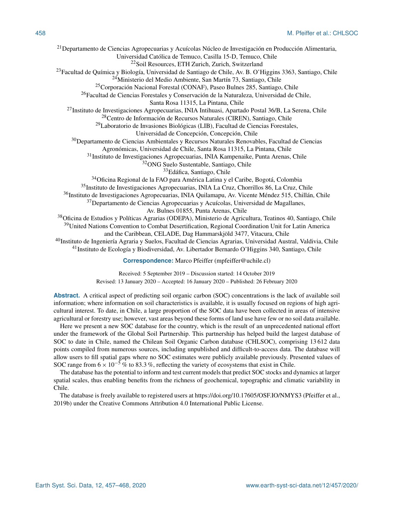Departamento de Ciencias Agropecuarias y Acuícolas Núcleo de Investigación en Producción Alimentaria, Universidad Católica de Temuco, Casilla 15-D, Temuco, Chile Soil Resources, ETH Zurich, Zurich, Switzerland Facultad de Química y Biología, Universidad de Santiago de Chile, Av. B. O'Higgins 3363, Santiago, Chile Ministerio del Medio Ambiente, San Martín 73, Santiago, Chile Corporación Nacional Forestal (CONAF), Paseo Bulnes 285, Santiago, Chile Facultad de Ciencias Forestales y Conservación de la Naturaleza, Universidad de Chile, Santa Rosa 11315, La Pintana, Chile Instituto de Investigaciones Agropecuarias, INIA Intihuasi, Apartado Postal 36/B, La Serena, Chile Centro de Información de Recursos Naturales (CIREN), Santiago, Chile Laboratorio de Invasiones Biológicas (LIB), Facultad de Ciencias Forestales, Universidad de Concepción, Concepción, Chile <sup>30</sup>Departamento de Ciencias Ambientales y Recursos Naturales Renovables, Facultad de Ciencias Agronómicas, Universidad de Chile, Santa Rosa 11315, La Pintana, Chile Instituto de Investigaciones Agropecuarias, INIA Kampenaike, Punta Arenas, Chile ONG Suelo Sustentable, Santiago, Chile Edáfica, Santiago, Chile Oficina Regional de la FAO para América Latina y el Caribe, Bogotá, Colombia Instituto de Investigaciones Agropecuarias, INIA La Cruz, Chorrillos 86, La Cruz, Chile <sup>36</sup>Instituto de Investigaciones Agropecuarias, INIA Quilamapu, Av. Vicente Méndez 515, Chillán, Chile Departamento de Ciencias Agropecuarias y Acuícolas, Universidad de Magallanes, Av. Bulnes 01855, Punta Arenas, Chile Oficina de Estudios y Políticas Agrarias (ODEPA), Ministerio de Agricultura, Teatinos 40, Santiago, Chile <sup>39</sup>United Nations Convention to Combat Desertification, Regional Coordination Unit for Latin America and the Caribbean, CELADE, Dag Hammarskjöld 3477, Vitacura, Chile Instituto de Ingeniería Agraria y Suelos, Facultad de Ciencias Agrarias, Universidad Austral, Valdivia, Chile Instituto de Ecología y Biodiversidad, Av. Libertador Bernardo O'Higgins 340, Santiago, Chile **Correspondence:** Marco Pfeiffer (mpfeiffer@uchile.cl)

> Received: 5 September 2019 – Discussion started: 14 October 2019 Revised: 13 January 2020 – Accepted: 16 January 2020 – Published: 26 February 2020

**Abstract.** A critical aspect of predicting soil organic carbon (SOC) concentrations is the lack of available soil information; where information on soil characteristics is available, it is usually focused on regions of high agricultural interest. To date, in Chile, a large proportion of the SOC data have been collected in areas of intensive agricultural or forestry use; however, vast areas beyond these forms of land use have few or no soil data available.

Here we present a new SOC database for the country, which is the result of an unprecedented national effort under the framework of the Global Soil Partnership. This partnership has helped build the largest database of SOC to date in Chile, named the Chilean Soil Organic Carbon database (CHLSOC), comprising 13 612 data points compiled from numerous sources, including unpublished and difficult-to-access data. The database will allow users to fill spatial gaps where no SOC estimates were publicly available previously. Presented values of SOC range from  $6 \times 10^{-5}$  % to 83.3 %, reflecting the variety of ecosystems that exist in Chile.

The database has the potential to inform and test current models that predict SOC stocks and dynamics at larger spatial scales, thus enabling benefits from the richness of geochemical, topographic and climatic variability in Chile.

The database is freely available to registered users at https://doi.org[/10.17605/OSF.IO/NMYS3](https://doi.org/10.17605/OSF.IO/NMYS3) (Pfeiffer et al., 2019b) under the Creative Commons Attribution 4.0 International Public License.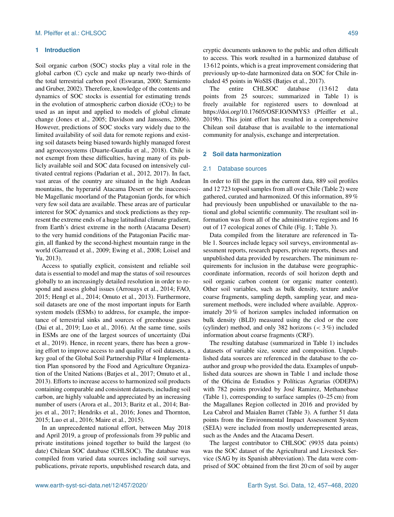# **1 Introduction**

Soil organic carbon (SOC) stocks play a vital role in the global carbon (C) cycle and make up nearly two-thirds of the total terrestrial carbon pool (Eswaran, 2000; Sarmiento and Gruber, 2002). Therefore, knowledge of the contents and dynamics of SOC stocks is essential for estimating trends in the evolution of atmospheric carbon dioxide  $(CO<sub>2</sub>)$  to be used as an input and applied to models of global climate change (Jones et al., 2005; Davidson and Janssens, 2006). However, predictions of SOC stocks vary widely due to the limited availability of soil data for remote regions and existing soil datasets being biased towards highly managed forest and agroecosystems (Duarte-Guardia et al., 2018). Chile is not exempt from these difficulties, having many of its publicly available soil and SOC data focused on intensively cultivated central regions (Padarian et al., 2012, 2017). In fact, vast areas of the country are situated in the high Andean mountains, the hyperarid Atacama Desert or the inaccessible Magellanic moorland of the Patagonian fjords, for which very few soil data are available. These areas are of particular interest for SOC dynamics and stock predictions as they represent the extreme ends of a huge latitudinal climate gradient, from Earth's driest extreme in the north (Atacama Desert) to the very humid conditions of the Patagonian Pacific margin, all flanked by the second-highest mountain range in the world (Garreaud et al., 2009; Ewing et al., 2008; Loisel and Yu, 2013).

Access to spatially explicit, consistent and reliable soil data is essential to model and map the status of soil resources globally to an increasingly detailed resolution in order to respond and assess global issues (Arrouays et al., 2014; FAO, 2015; Hengl et al., 2014; Omuto et al., 2013). Furthermore, soil datasets are one of the most important inputs for Earth system models (ESMs) to address, for example, the importance of terrestrial sinks and sources of greenhouse gases (Dai et al., 2019; Luo et al., 2016). At the same time, soils in ESMs are one of the largest sources of uncertainty (Dai et al., 2019). Hence, in recent years, there has been a growing effort to improve access to and quality of soil datasets, a key goal of the Global Soil Partnership Pillar 4 Implementation Plan sponsored by the Food and Agriculture Organization of the United Nations (Batjes et al., 2017; Omuto et al., 2013). Efforts to increase access to harmonized soil products containing comparable and consistent datasets, including soil carbon, are highly valuable and appreciated by an increasing number of users (Arora et al., 2013; Baritz et al., 2014; Batjes et al., 2017; Hendriks et al., 2016; Jones and Thornton, 2015; Luo et al., 2016; Maire et al., 2015).

In an unprecedented national effort, between May 2018 and April 2019, a group of professionals from 39 public and private institutions joined together to build the largest (to date) Chilean SOC database (CHLSOC). The database was compiled from varied data sources including soil surveys, publications, private reports, unpublished research data, and cryptic documents unknown to the public and often difficult to access. This work resulted in a harmonized database of 13 612 points, which is a great improvement considering that previously up-to-date harmonized data on SOC for Chile included 45 points in WoSIS (Batjes et al., 2017).

The entire CHLSOC database (13 612 data points from 25 sources; summarized in Table 1) is freely available for registered users to download at https://doi.org[/10.17605/OSF.IO/NMYS3](https://doi.org/10.17605/OSF.IO/NMYS3) (Pfeiffer et al., 2019b). This joint effort has resulted in a comprehensive Chilean soil database that is available to the international community for analysis, exchange and interpretation.

#### **2 Soil data harmonization**

#### 2.1 Database sources

In order to fill the gaps in the current data, 889 soil profiles and 12 723 topsoil samples from all over Chile (Table 2) were gathered, curated and harmonized. Of this information, 89 % had previously been unpublished or unavailable to the national and global scientific community. The resultant soil information was from all of the administrative regions and 16 out of 17 ecological zones of Chile (Fig. 1; Table 3).

Data compiled from the literature are referenced in Table 1. Sources include legacy soil surveys, environmental assessment reports, research papers, private reports, theses and unpublished data provided by researchers. The minimum requirements for inclusion in the database were geographiccoordinate information, records of soil horizon depth and soil organic carbon content (or organic matter content). Other soil variables, such as bulk density, texture and/or coarse fragments, sampling depth, sampling year, and measurement methods, were included where available. Approximately 20 % of horizon samples included information on bulk density (BLD) measured using the clod or the core (cylinder) method, and only 382 horizons (< 3 %) included information about coarse fragments (CRF).

The resulting database (summarized in Table 1) includes datasets of variable size, source and composition. Unpublished data sources are referenced in the database to the coauthor and group who provided the data. Examples of unpublished data sources are shown in Table 1 and include those of the Oficina de Estudios y Políticas Agrarias (ODEPA) with 782 points provided by José Ramirez, Methanobase (Table 1), corresponding to surface samples (0–25 cm) from the Magallanes Region collected in 2016 and provided by Lea Cabrol and Maialen Barret (Table 3). A further 51 data points from the Environmental Impact Assessment System (SEIA) were included from mostly underrepresented areas, such as the Andes and the Atacama Desert.

The largest contributor to CHLSOC (9935 data points) was the SOC dataset of the Agricultural and Livestock Service (SAG by its Spanish abbreviation). The data were comprised of SOC obtained from the first 20 cm of soil by auger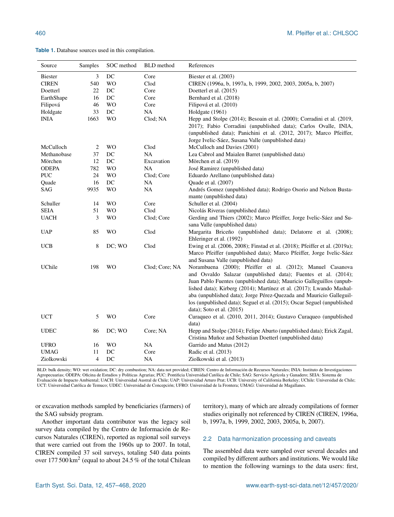**Table 1.** Database sources used in this compilation.

| Source         | Samples | SOC method | <b>BLD</b> method | References                                                                                            |  |
|----------------|---------|------------|-------------------|-------------------------------------------------------------------------------------------------------|--|
| <b>Biester</b> | 3       | DC         | Core              | Biester et al. (2003)                                                                                 |  |
| <b>CIREN</b>   | 540     | <b>WO</b>  | Clod              | CIREN (1996a, b, 1997a, b, 1999, 2002, 2003, 2005a, b, 2007)                                          |  |
| Doetterl       | 22      | DC         | Core              | Doetterl et al. (2015)                                                                                |  |
| EarthShape     | 16      | DC         | Core              | Bernhard et al. (2018)                                                                                |  |
| Filipová       | 46      | <b>WO</b>  | Core              | Filipová et al. (2010)                                                                                |  |
| Holdgate       | 33      | DC         | NA.               | Holdgate (1961)                                                                                       |  |
| <b>INIA</b>    | 1663    | <b>WO</b>  | Clod: NA          | Hepp and Stolpe (2014); Besoain et al. (2000); Corradini et al. (2019,                                |  |
|                |         |            |                   | 2017); Fabio Corradini (unpublished data); Carlos Ovalle, INIA,                                       |  |
|                |         |            |                   | (unpublished data); Panichini et al. (2012, 2017); Marco Pfeiffer,                                    |  |
|                |         |            |                   | Jorge Ivelic-Sáez, Susana Valle (unpublished data)                                                    |  |
| McCulloch      | 2       | <b>WO</b>  | Clod              | McCulloch and Davies (2001)                                                                           |  |
| Methanobase    | 37      | DC         | NA                | Lea Cabrol and Maialen Barret (unpublished data)                                                      |  |
| Mörchen        | 12      | DC         | Excavation        | Mörchen et al. (2019)                                                                                 |  |
| <b>ODEPA</b>   | 782     | <b>WO</b>  | NA                | José Ramirez (unpublished data)                                                                       |  |
| <b>PUC</b>     | 24      | <b>WO</b>  | Clod; Core        | Eduardo Arellano (unpublished data)                                                                   |  |
| Quade          | 16      | DC         | NA                | Quade et al. (2007)                                                                                   |  |
| SAG            | 9935    | <b>WO</b>  | <b>NA</b>         | Andrés Gomez (unpublished data); Rodrigo Osorio and Nelson Busta-                                     |  |
|                |         |            |                   | mante (unpublished data)                                                                              |  |
| Schuller       | 14      | <b>WO</b>  | Core              | Schuller et al. (2004)                                                                                |  |
| <b>SEIA</b>    | 51      | <b>WO</b>  | Clod              | Nicolás Riveras (unpublished data)                                                                    |  |
| <b>UACH</b>    | 3       | <b>WO</b>  | Clod: Core        | Gerding and Thiers (2002); Marco Pfeiffer, Jorge Ivelic-Sáez and Su-<br>sana Valle (unpublished data) |  |
| <b>UAP</b>     | 85      | WO         | Clod              | Margarita Briceño (unpublished data); Delatorre et al. (2008);                                        |  |
|                |         |            |                   | Ehleringer et al. (1992)                                                                              |  |
| <b>UCB</b>     | 8       | DC; WO     | Clod              | Ewing et al. (2006, 2008); Finstad et al. (2018); Pfeiffer et al. (2019a);                            |  |
|                |         |            |                   | Marco Pfeiffer (unpublished data); Marco Pfeiffer, Jorge Ivelic-Sáez                                  |  |
|                |         |            |                   | and Susana Valle (unpublished data)                                                                   |  |
| UChile         | 198     | <b>WO</b>  | Clod; Core; NA    | Norambuena (2000); Pfeiffer et al. (2012); Manuel Casanova                                            |  |
|                |         |            |                   | and Osvaldo Salazar (unpublished data); Fuentes et al. (2014);                                        |  |
|                |         |            |                   | Juan Pablo Fuentes (unpublished data); Mauricio Galleguillos (unpub-                                  |  |
|                |         |            |                   | lished data); Kirberg (2014); Martínez et al. (2017); Lwando Mashal-                                  |  |
|                |         |            |                   | aba (unpublished data); Jorge Pérez-Quezada and Mauricio Galleguil-                                   |  |
|                |         |            |                   | los (unpublished data); Seguel et al. (2015); Oscar Seguel (unpublished                               |  |
|                |         |            |                   | data); Soto et al. (2015)                                                                             |  |
| <b>UCT</b>     | 5       | <b>WO</b>  | Core              | Curaqueo et al. (2010, 2011, 2014); Gustavo Curaqueo (unpublished<br>data)                            |  |
| <b>UDEC</b>    | 86      | DC; WO     | Core; NA          | Hepp and Stolpe (2014); Felipe Aburto (unpublished data); Erick Zagal,                                |  |
|                |         |            |                   | Cristina Muñoz and Sebastian Doetterl (unpublished data)                                              |  |
| <b>UFRO</b>    | 16      | <b>WO</b>  | NA                | Garrido and Matus (2012)                                                                              |  |
| <b>UMAG</b>    | 11      | DC         | Core              | Radic et al. (2013)                                                                                   |  |
| Ziolkowski     | 4       | DC         | NA                | Ziolkowski et al. (2013)                                                                              |  |

BLD: bulk density; WO: wet oxidation; DC: dry combustion; NA: data not provided; CIREN: Centro de Información de Recursos Naturales; INIA: Instituto de Investigaciones Agropecuarias; ODEPA: Oficina de Estudios y Políticas Agrarias; PUC: Pontificia Universidad Católica de Chile; SAG: Servicio Agrícola y Ganadero; SEIA: Sistema de Evaluación de Impacto Ambiental; UACH: Universidad Austral de Chile; UAP: Universidad Arturo Prat; UCB: University of California Berkeley; UChile: Universidad de Chile; UCT: Universidad Católica de Temuco; UDEC: Universidad de Concepción; UFRO: Universidad de la Frontera; UMAG: Universidad de Magallanes.

or excavation methods sampled by beneficiaries (farmers) of the SAG subsidy program.

Another important data contributor was the legacy soil survey data compiled by the Centro de Información de Recursos Naturales (CIREN), reported as regional soil surveys that were carried out from the 1960s up to 2007. In total, CIREN compiled 37 soil surveys, totaling 540 data points over  $177500 \,\mathrm{km^2}$  (equal to about 24.5% of the total Chilean

territory), many of which are already compilations of former studies originally not referenced by CIREN (CIREN, 1996a, b, 1997a, b, 1999, 2002, 2003, 2005a, b, 2007).

# 2.2 Data harmonization processing and caveats

The assembled data were sampled over several decades and compiled by different authors and institutions. We would like to mention the following warnings to the data users: first,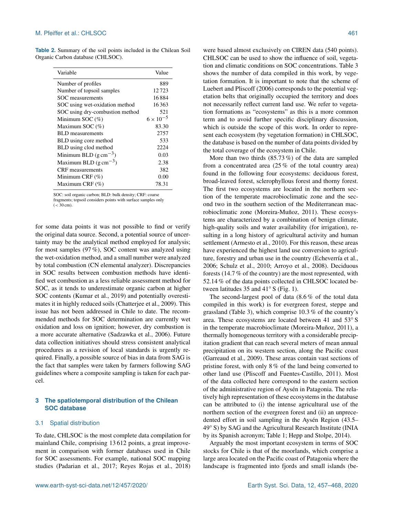**Table 2.** Summary of the soil points included in the Chilean Soil Organic Carbon database (CHLSOC).

| Variable                          | Value              |  |
|-----------------------------------|--------------------|--|
| Number of profiles                | 889                |  |
| Number of topsoil samples         | 12723              |  |
| SOC measurements                  | 16884              |  |
| SOC using wet-oxidation method    | 16363              |  |
| SOC using dry-combustion method   | 521                |  |
| Minimum SOC $(\%)$                | $6 \times 10^{-5}$ |  |
| Maximum SOC $(\%)$                | 83.30              |  |
| <b>BLD</b> measurements           | 2757               |  |
| BLD using core method             | 533                |  |
| BLD using clod method             | 2224               |  |
| Minimum BLD $(g \text{ cm}^{-3})$ | 0.03               |  |
| Maximum BLD $(g \text{ cm}^{-3})$ | 2.38               |  |
| <b>CRF</b> measurements           | 382                |  |
| Minimum CRF $(\%)$                | 0.00               |  |
| Maximum CRF $(\%)$                | 78.31              |  |

SOC: soil organic carbon; BLD: bulk density; CRF: coarse

fragments; topsoil considers points with surface samples only

 $(< 30 cm)$ .

for some data points it was not possible to find or verify the original data source. Second, a potential source of uncertainty may be the analytical method employed for analysis; for most samples (97 %), SOC content was analyzed using the wet-oxidation method, and a small number were analyzed by total combustion (CN elemental analyzer). Discrepancies in SOC results between combustion methods have identified wet combustion as a less reliable assessment method for SOC, as it tends to underestimate organic carbon at higher SOC contents (Kumar et al., 2019) and potentially overestimates it in highly reduced soils (Chatterjee et al., 2009). This issue has not been addressed in Chile to date. The recommended methods for SOC determination are currently wet oxidation and loss on ignition; however, dry combustion is a more accurate alternative (Sadzawka et al., 2006). Future data collection initiatives should stress consistent analytical procedures as a revision of local standards is urgently required. Finally, a possible source of bias in data from SAG is the fact that samples were taken by farmers following SAG guidelines where a composite sampling is taken for each parcel.

# **3 The spatiotemporal distribution of the Chilean SOC database**

#### 3.1 Spatial distribution

To date, CHLSOC is the most complete data compilation for mainland Chile, comprising 13 612 points, a great improvement in comparison with former databases used in Chile for SOC assessments. For example, national SOC mapping studies (Padarian et al., 2017; Reyes Rojas et al., 2018)

were based almost exclusively on CIREN data (540 points). CHLSOC can be used to show the influence of soil, vegetation and climatic conditions on SOC concentrations. Table 3 shows the number of data compiled in this work, by vegetation formation. It is important to note that the scheme of Luebert and Pliscoff (2006) corresponds to the potential vegetation belts that originally occupied the territory and does not necessarily reflect current land use. We refer to vegetation formations as "ecosystems" as this is a more common term and to avoid further specific disciplinary discussion, which is outside the scope of this work. In order to represent each ecosystem (by vegetation formation) in CHLSOC, the database is based on the number of data points divided by the total coverage of the ecosystem in Chile.

More than two thirds (85.73 %) of the data are sampled from a concentrated area (25 % of the total country area) found in the following four ecosystems: deciduous forest, broad-leaved forest, sclerophyllous forest and thorny forest. The first two ecosystems are located in the northern section of the temperate macrobioclimatic zone and the second two in the southern section of the Mediterranean macrobioclimatic zone (Moreira-Muñoz, 2011). These ecosystems are characterized by a combination of benign climate, high-quality soils and water availability (for irrigation), resulting in a long history of agricultural activity and human settlement (Armesto et al., 2010). For this reason, these areas have experienced the highest land use conversion to agriculture, forestry and urban use in the country (Echeverría et al., 2006; Schulz et al., 2010; Arroyo et al., 2008). Deciduous forests (14.7 % of the country) are the most represented, with 52.14 % of the data points collected in CHLSOC located between latitudes 35 and 41◦ S (Fig. 1).

The second-largest pool of data (8.6 % of the total data compiled in this work) is for evergreen forest, steppe and grassland (Table 3), which comprise 10.3 % of the country's area. These ecosystems are located between 41 and 53◦ S in the temperate macrobioclimate (Moreira-Muñoz, 2011), a thermally homogeneous territory with a considerable precipitation gradient that can reach several meters of mean annual precipitation on its western section, along the Pacific coast (Garreaud et al., 2009). These areas contain vast sections of pristine forest, with only 8 % of the land being converted to other land use (Pliscoff and Fuentes-Castillo, 2011). Most of the data collected here correspond to the eastern section of the administrative region of Aysén in Patagonia. The relatively high representation of these ecosystems in the database can be attributed to (i) the intense agricultural use of the northern section of the evergreen forest and (ii) an unprecedented effort in soil sampling in the Aysén Region (43.5– 49◦ S) by SAG and the Agricultural Research Institute (INIA by its Spanish acronym; Table 1; Hepp and Stolpe, 2014).

Arguably the most important ecosystem in terms of SOC stocks for Chile is that of the moorlands, which comprise a large area located on the Pacific coast of Patagonia where the landscape is fragmented into fjords and small islands (be-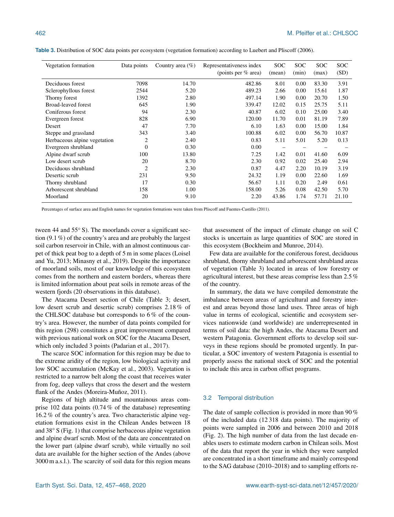| Vegetation formation         | Data points    | Country area $(\%)$ | Representativeness index<br>(points per $\%$ area) | <b>SOC</b><br>(mean) | <b>SOC</b><br>(min) | <b>SOC</b><br>(max) | <b>SOC</b><br>(SD) |
|------------------------------|----------------|---------------------|----------------------------------------------------|----------------------|---------------------|---------------------|--------------------|
| Deciduous forest             | 7098           | 14.70               | 482.86                                             | 8.01                 | 0.00                | 83.30               | 3.91               |
| Sclerophyllous forest        | 2544           | 5.20                | 489.23                                             | 2.66                 | 0.00                | 15.61               | 1.87               |
| Thorny forest                | 1392           | 2.80                | 497.14                                             | 1.90                 | 0.00                | 20.70               | 1.50               |
| <b>Broad-leaved forest</b>   | 645            | 1.90                | 339.47                                             | 12.02                | 0.15                | 25.75               | 5.11               |
| Coniferous forest            | 94             | 2.30                | 40.87                                              | 6.02                 | 0.10                | 25.00               | 3.40               |
| Evergreen forest             | 828            | 6.90                | 120.00                                             | 11.70                | 0.01                | 81.19               | 7.89               |
| Desert                       | 47             | 7.70                | 6.10                                               | 1.63                 | 0.00                | 15.00               | 1.84               |
| Steppe and grassland         | 343            | 3.40                | 100.88                                             | 6.02                 | 0.00                | 56.70               | 10.87              |
| Herbaceous alpine vegetation | $\overline{2}$ | 2.40                | 0.83                                               | 5.11                 | 5.01                | 5.20                | 0.13               |
| Evergreen shrubland          | $\Omega$       | 0.30                | 0.00                                               |                      |                     |                     |                    |
| Alpine dwarf scrub           | 100            | 13.80               | 7.25                                               | 1.42                 | 0.01                | 41.60               | 6.09               |
| Low desert scrub             | 20             | 8.70                | 2.30                                               | 0.92                 | 0.02                | 25.40               | 2.94               |
| Deciduous shrubland          | $\overline{2}$ | 2.30                | 0.87                                               | 4.47                 | 2.20                | 10.19               | 3.19               |
| Desertic scrub               | 231            | 9.50                | 24.32                                              | 1.19                 | 0.00                | 22.60               | 1.69               |
| Thorny shrubland             | 17             | 0.30                | 56.67                                              | 1.11                 | 0.20                | 2.49                | 0.61               |
| Arborescent shrubland        | 158            | 1.00                | 158.00                                             | 5.26                 | 0.08                | 42.50               | 5.70               |
| Moorland                     | 20             | 9.10                | 2.20                                               | 43.86                | 1.74                | 57.71               | 21.10              |

**Table 3.** Distribution of SOC data points per ecosystem (vegetation formation) according to Luebert and Pliscoff (2006).

Percentages of surface area and English names for vegetation formations were taken from Pliscoff and Fuentes-Castillo (2011).

tween 44 and 55<sup>°</sup> S). The moorlands cover a significant section (9.1 %) of the country's area and are probably the largest soil carbon reservoir in Chile, with an almost continuous carpet of thick peat bog to a depth of 5 m in some places (Loisel and Yu, 2013; Minasny et al., 2019). Despite the importance of moorland soils, most of our knowledge of this ecosystem comes from the northern and eastern borders, whereas there is limited information about peat soils in remote areas of the western fjords (20 observations in this database).

The Atacama Desert section of Chile (Table 3; desert, low desert scrub and desertic scrub) comprises 2.18 % of the CHLSOC database but corresponds to 6 % of the country's area. However, the number of data points compiled for this region (298) constitutes a great improvement compared with previous national work on SOC for the Atacama Desert, which only included 3 points (Padarian et al., 2017).

The scarce SOC information for this region may be due to the extreme aridity of the region, low biological activity and low SOC accumulation (McKay et al., 2003). Vegetation is restricted to a narrow belt along the coast that receives water from fog, deep valleys that cross the desert and the western flank of the Andes (Moreira-Muñoz, 2011).

Regions of high altitude and mountainous areas comprise 102 data points (0.74 % of the database) representing 16.2 % of the country's area. Two characteristic alpine vegetation formations exist in the Chilean Andes between 18 and 38◦ S (Fig. 1) that comprise herbaceous alpine vegetation and alpine dwarf scrub. Most of the data are concentrated on the lower part (alpine dwarf scrub), while virtually no soil data are available for the higher section of the Andes (above 3000 m a.s.l.). The scarcity of soil data for this region means that assessment of the impact of climate change on soil C stocks is uncertain as large quantities of SOC are stored in this ecosystem (Bockheim and Munroe, 2014).

Few data are available for the coniferous forest, deciduous shrubland, thorny shrubland and arborescent shrubland areas of vegetation (Table 3) located in areas of low forestry or agricultural interest, but these areas comprise less than 2.5 % of the country.

In summary, the data we have compiled demonstrate the imbalance between areas of agricultural and forestry interest and areas beyond those land uses. Three areas of high value in terms of ecological, scientific and ecosystem services nationwide (and worldwide) are underrepresented in terms of soil data: the high Andes, the Atacama Desert and western Patagonia. Government efforts to develop soil surveys in these regions should be promoted urgently. In particular, a SOC inventory of western Patagonia is essential to properly assess the national stock of SOC and the potential to include this area in carbon offset programs.

#### 3.2 Temporal distribution

The date of sample collection is provided in more than 90 % of the included data (12 318 data points). The majority of points were sampled in 2006 and between 2010 and 2018 (Fig. 2). The high number of data from the last decade enables users to estimate modern carbon in Chilean soils. Most of the data that report the year in which they were sampled are concentrated in a short timeframe and mainly correspond to the SAG database (2010–2018) and to sampling efforts re-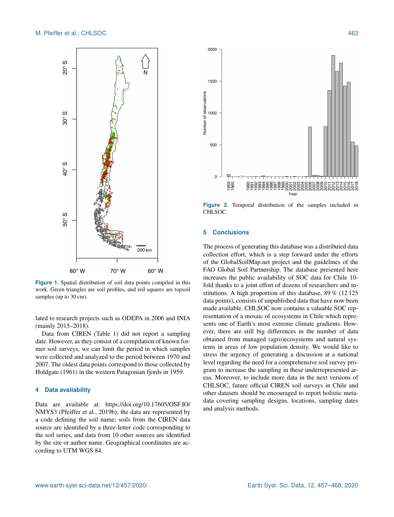

Figure 1. Spatial distribution of soil data points compiled in this work. Green triangles are soil profiles, and red squares are topsoil samples (up to  $30 \text{ cm}$ ).

lated to research projects such as ODEPA in 2006 and INIA (mainly 2015–2018).

Data from CIREN (Table 1) did not report a sampling date. However, as they consist of a compilation of known former soil surveys, we can limit the period in which samples were collected and analyzed to the period between 1970 and 2007. The oldest data points correspond to those collected by Holdgate (1961) in the western Patagonian fjords in 1959.

# **4 Data availability**

Data are available at: [https://doi.org/10.17605/OSF.IO/](https://doi.org/10.17605/OSF.IO/NMYS3) [NMYS3](https://doi.org/10.17605/OSF.IO/NMYS3) (Pfeiffer et al., 2019b); the data are represented by a code defining the soil name; soils from the CIREN data source are identified by a three-letter code corresponding to the soil series, and data from 10 other sources are identified by the site or author name. Geographical coordinates are according to UTM WGS 84.



**Figure 2.** Temporal distribution of the samples included in CHLSOC.

# **5 Conclusions**

The process of generating this database was a distributed data collection effort, which is a step forward under the efforts of the GlobalSoilMap.net project and the guidelines of the FAO Global Soil Partnership. The database presented here increases the public availability of SOC data for Chile 10 fold thanks to a joint effort of dozens of researchers and institutions. A high proportion of this database, 89 % (12 125 data points), consists of unpublished data that have now been made available. CHLSOC now contains a valuable SOC representation of a mosaic of ecosystems in Chile which represents one of Earth's most extreme climate gradients. However, there are still big differences in the number of data obtained from managed (agro)ecosystems and natural systems in areas of low population density. We would like to stress the urgency of generating a discussion at a national level regarding the need for a comprehensive soil survey program to increase the sampling in these underrepresented areas. Moreover, to include more data in the next versions of CHLSOC, future official CIREN soil surveys in Chile and other datasets should be encouraged to report holistic metadata covering sampling designs, locations, sampling dates and analysis methods.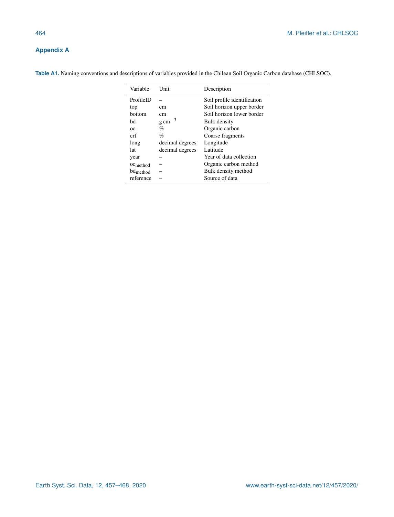# **Appendix A**

| Variable             | Unit                | Description                 |
|----------------------|---------------------|-----------------------------|
| ProfileID            |                     | Soil profile identification |
| top                  | cm                  | Soil horizon upper border   |
| bottom               | cm                  | Soil horizon lower border   |
| bd                   | $g \text{ cm}^{-3}$ | Bulk density                |
| ОC                   | $\%$                | Organic carbon              |
| crf                  | $\%$                | Coarse fragments            |
| long                 | decimal degrees     | Longitude                   |
| lat                  | decimal degrees     | Latitude                    |
| year                 |                     | Year of data collection     |
| OC <sub>method</sub> |                     | Organic carbon method       |
| bd <sub>method</sub> |                     | Bulk density method         |
| reference            |                     | Source of data              |

**Table A1.** Naming conventions and descriptions of variables provided in the Chilean Soil Organic Carbon database (CHLSOC).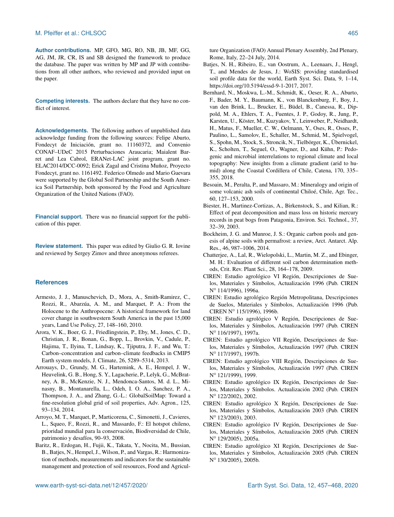**Author contributions.** MP, GFO, MG, RO, NB, JB, MF, GG, AG, JM, JR, CR, IS and SB designed the framework to produce the database. The paper was written by MP and JP with contributions from all other authors, who reviewed and provided input on the paper.

**Competing interests.** The authors declare that they have no conflict of interest.

**Acknowledgements.** The following authors of unpublished data acknowledge funding from the following sources: Felipe Aburto, Fondecyt de Iniciación, grant no. 11160372, and Convenio CONAF–UDeC 2015 Perturbaciones Araucaria; Maialent Barret and Lea Cabrol, ERANet-LAC joint program, grant no. ELAC2014/DCC-0092; Erick Zagal and Cristina Muñoz, Proyecto Fondecyt, grant no. 1161492. Federico Olmedo and Mario Guevara were supported by the Global Soil Partnership and the South America Soil Partnership, both sponsored by the Food and Agriculture Organization of the United Nations (FAO).

**Financial support.** There was no financial support for the publication of this paper.

**Review statement.** This paper was edited by Giulio G. R. Iovine and reviewed by Sergey Zimov and three anonymous referees.

# **References**

- Armesto, J. J., Manuschevich, D., Mora, A., Smith-Ramirez, C., Rozzi, R., Abarzúa, A. M., and Marquet, P. A.: From the Holocene to the Anthropocene: A historical framework for land cover change in southwestern South America in the past 15,000 years, Land Use Policy, 27, 148–160, 2010.
- Arora, V. K., Boer, G. J., Friedlingstein, P., Eby, M., Jones, C. D., Christian, J. R., Bonan, G., Bopp, L., Brovkin, V., Cadule, P., Hajima, T., Ilyina, T., Lindsay, K., Tjiputra, J. F., and Wu, T.: Carbon–concentration and carbon–climate feedbacks in CMIP5 Earth system models, J. Climate, 26, 5289–5314, 2013.
- Arrouays, D., Grundy, M. G., Hartemink, A. E., Hempel, J. W., Heuvelink, G. B., Hong, S. Y., Lagacherie, P., Lelyk, G., McBratney, A. B., McKenzie, N. J., Mendonca-Santos, M. d. L., Minasny, B., Montanarella, L., Odeh, I. O. A., Sanchez, P. A., Thompson, J. A., and Zhang, G.-L.: GlobalSoilMap: Toward a fine-resolution global grid of soil properties, Adv. Agron., 125, 93–134, 2014.
- Arroyo, M. T., Marquet, P., Marticorena, C., Simonetti, J., Cavieres, L., Squeo, F., Rozzi, R., and Massardo, F.: El hotspot chileno, prioridad mundial para la conservación, Biodiversidad de Chile, patrimonio y desafíos, 90–93, 2008.
- Baritz, R., Erdogan, H., Fujii, K., Takata, Y., Nocita, M., Bussian, B., Batjes, N., Hempel, J., Wilson, P., and Vargas, R.: Harmonization of methods, measurements and indicators for the sustainable management and protection of soil resources, Food and Agricul-

ture Organization (FAO) Annual Plenary Assembly, 2nd Plenary, Rome, Italy, 22–24 July, 2014.

- Batjes, N. H., Ribeiro, E., van Oostrum, A., Leenaars, J., Hengl, T., and Mendes de Jesus, J.: WoSIS: providing standardised soil profile data for the world, Earth Syst. Sci. Data, 9, 1–14, https://doi.org/10.5194/essd-9-1-2017, 2017.
- Bernhard, N., Moskwa, L.-M., Schmidt, K., Oeser, R. A., Aburto, F., Bader, M. Y., Baumann, K., von Blanckenburg, F., Boy, J., van den Brink, L., Brucker, E., Büdel, B., Canessa, R., Dippold, M. A., Ehlers, T. A., Fuentes, J. P., Godoy, R., Jung, P., Karsten, U., Köster, M., Kuzyakov, Y., Leinweber, P., Neidhardt, H., Matus, F., Mueller, C. W., Oelmann, Y., Oses, R., Osses, P., Paulino, L., Samolov, E., Schaller, M., Schmid, M., Spielvogel, S., Spohn, M., Stock, S., Stroncik, N., Tielbörger, K., Übernickel, K., Scholten, T., Seguel, O., Wagner, D., and Kühn, P.: Pedogenic and microbial interrelations to regional climate and local topography: New insights from a climate gradient (arid to humid) along the Coastal Cordillera of Chile, Catena, 170, 335– 355, 2018.
- Besoain, M., Peralta, P., and Massaro, M.: Mineralogy and origin of some volcanic ash soils of continental Chiloé, Chile, Agr. Tec., 60, 127–153, 2000.
- Biester, H., Martinez-Cortizas, A., Birkenstock, S., and Kilian, R.: Effect of peat decomposition and mass loss on historic mercury records in peat bogs from Patagonia, Environ. Sci. Technol., 37, 32–39, 2003.
- Bockheim, J. G. and Munroe, J. S.: Organic carbon pools and genesis of alpine soils with permafrost: a review, Arct. Antarct. Alp. Res., 46, 987–1006, 2014.
- Chatterjee, A., Lal, R., Wielopolski, L., Martin, M. Z., and Ebinger, M. H.: Evaluation of different soil carbon determination methods, Crit. Rev. Plant Sci., 28, 164–178, 2009.
- CIREN: Estudio agrológico VI Región, Descripciones de Suelos, Materiales y Símbolos, Actualización 1996 (Pub. CIREN N ◦ 114/1996), 1996a.
- CIREN: Estudio agrológico Región Metropolitana, Descripciones de Suelos, Materiales y Símbolos, Actualización 1996 (Pub. CIREN N◦ 115/1996), 1996b.
- CIREN: Estudio agrológico V Región, Descripciones de Suelos, Materiales y Símbolos, Actualización 1997 (Pub. CIREN N ◦ 116/1997), 1997a.
- CIREN: Estudio agrológico VII Región, Descripciones de Suelos, Materiales y Símbolos, Actualización 1997 (Pub. CIREN N ◦ 117/1997), 1997b.
- CIREN: Estudio agrológico VIII Región, Descripciones de Suelos, Materiales y Símbolos, Actualización 1997 (Pub. CIREN N ◦ 121/1999), 1999.
- CIREN: Estudio agrológico IX Región, Descripciones de Suelos, Materiales y Símbolos. Actualización 2002 (Pub. CIREN N° 122/2002), 2002.
- CIREN: Estudio agrológico X Región, Descripciones de Suelos, Materiales y Símbolos, Actualización 2003 (Pub. CIREN N° 123/2003), 2003.
- CIREN: Estudio agrológico IV Región, Descripciones de Suelos, Materiales y Símbolos, Actualización 2005 (Pub. CIREN N ◦ 129/2005), 2005a.
- CIREN: Estudio agrológico XI Región, Descripciones de Suelos, Materiales y Símbolos, Actualización 2005 (Pub. CIREN N ◦ 130/2005), 2005b.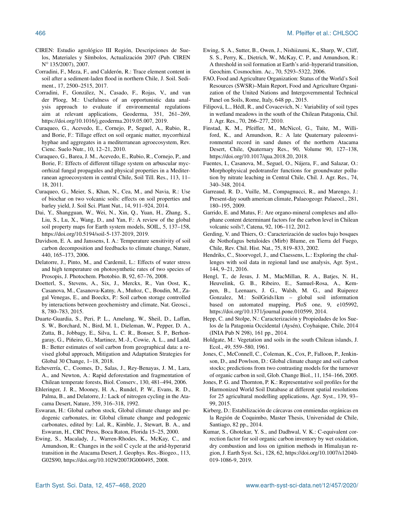- CIREN: Estudio agrológico III Región, Descripciones de Suelos, Materiales y Símbolos, Actualización 2007 (Pub. CIREN N ◦ 135/2007), 2007.
- Corradini, F., Meza, F., and Calderón, R.: Trace element content in soil after a sediment-laden flood in northern Chile, J. Soil. Sediment., 17, 2500–2515, 2017.
- Corradini, F., González, N., Casado, F., Rojas, V., and van der Ploeg, M.: Usefulness of an opportunistic data analysis approach to evaluate if environmental regulations aim at relevant applications, Geoderma, 351, 261–269, https://doi.org[/10.1016/j.geoderma.2019.05.007,](https://doi.org/10.1016/j.geoderma.2019.05.007) 2019.
- Curaqueo, G., Acevedo, E., Cornejo, P., Seguel, A., Rubio, R., and Borie, F.: Tillage effect on soil organic matter, mycorrhizal hyphae and aggregates in a mediterranean agroecosystem, Rev. Cienc. Suelo Nutr., 10, 12–21, 2010.
- Curaqueo, G., Barea, J. M., Acevedo, E., Rubio, R., Cornejo, P., and Borie, F.: Effects of different tillage system on arbuscular mycorrhizal fungal propagules and physical properties in a Mediterranean agroecosystem in central Chile, Soil Till. Res., 113, 11– 18, 2011.
- Curaqueo, G., Meier, S., Khan, N., Cea, M., and Navia, R.: Use of biochar on two volcanic soils: effects on soil properties and barley yield, J. Soil Sci. Plant Nut., 14, 911–924, 2014.
- Dai, Y., Shangguan, W., Wei, N., Xin, Q., Yuan, H., Zhang, S., Liu, S., Lu, X., Wang, D., and Yan, F.: A review of the global soil property maps for Earth system models, SOIL, 5, 137–158, https://doi.org/10.5194/soil-5-137-2019, 2019.
- Davidson, E. A. and Janssens, I. A.: Temperature sensitivity of soil carbon decomposition and feedbacks to climate change, Nature, 440, 165–173, 2006.
- Delatorre, J., Pinto, M., and Cardemil, L.: Effects of water stress and high temperature on photosynthetic rates of two species of Prosopis, J. Photochem. Photobio. B, 92, 67–76, 2008.
- Doetterl, S., Stevens, A., Six, J., Merckx, R., Van Oost, K., Casanova, M., Casanova-Katny, A., Muñoz, C., Boudin, M., Zagal Venegas, E., and Boeckx, P.: Soil carbon storage controlled by interactions between geochemistry and climate, Nat. Geosci., 8, 780–783, 2015.
- Duarte-Guardia, S., Peri, P. L., Amelung, W., Sheil, D., Laffan, S. W., Borchard, N., Bird, M. I., Dieleman, W., Pepper, D. A., Zutta, B., Jobbagy, E., Silva, L. C. R., Bonser, S. P., Berhongaray, G., Piñeiro, G., Martinez, M.-J., Cowie, A. L., and Ladd, B.: Better estimates of soil carbon from geographical data: a revised global approach, Mitigation and Adaptation Strategies for Global 30 Change, 1–18, 2018.
- Echeverría, C., Coomes, D., Salas, J., Rey-Benayas, J. M., Lara, A., and Newton, A.: Rapid deforestation and fragmentation of Chilean temperate forests, Biol. Conserv., 130, 481–494, 2006.
- Ehleringer, J. R., Mooney, H. A., Rundel, P. W., Evans, R. D., Palma, B., and Delatorre, J.: Lack of nitrogen cycling in the Atacama Desert, Nature, 359, 316–318, 1992.
- Eswaran, H.: Global carbon stock, Global climate change and pedogenic carbonates, in: Global climate change and pedogenic carbonates, edited by: Lal, R., Kimble, J., Stewart, B. A., and Eswaran, H., CRC Press, Boca Raton, Florida 15–25, 2000.
- Ewing, S., Macalady, J., Warren-Rhodes, K., McKay, C., and Amundson, R.: Changes in the soil C cycle at the arid-hyperarid transition in the Atacama Desert, J. Geophys. Res.-Biogeo., 113, G02S90, https://doi.org[/10.1029/2007JG000495,](https://doi.org/10.1029/2007JG000495) 2008.
- Ewing, S. A., Sutter, B., Owen, J., Nishiizumi, K., Sharp, W., Cliff, S. S., Perry, K., Dietrich, W., McKay, C. P., and Amundson, R.: A threshold in soil formation at Earth's arid–hyperarid transition, Geochim. Cosmochim. Ac., 70, 5293–5322, 2006.
- FAO, Food and Agriculture Organization: Status of the World's Soil Resources (SWSR)–Main Report, Food and Agriculture Organization of the United Nations and Intergovernmental Technical Panel on Soils, Rome, Italy, 648 pp., 2015.
- Filipová, L., Hédl, R., and Covacevich, N.: Variability of soil types in wetland meadows in the south of the Chilean Patagonia, Chil. J. Agr. Res., 70, 266–277, 2010.
- Finstad, K. M., Pfeiffer, M., McNicol, G., Tuite, M., Williford, K., and Amundson, R.: A late Quaternary paleoenvironmental record in sand dunes of the northern Atacama Desert, Chile, Quaternary Res., 90, Volume 90, 127–138, https://doi.org[/10.1017/qua.2018.20,](https://doi.org/10.1017/qua.2018.20) 2018.
- Fuentes, I., Casanova, M., Seguel, O., Nájera, F., and Salazar, O.: Morphophysical pedotransfer functions for groundwater pollution by nitrate leaching in Central Chile, Chil. J. Agr. Res., 74, 340–348, 2014.
- Garreaud, R. D., Vuille, M., Compagnucci, R., and Marengo, J.: Present-day south american climate, Palaeogeogr. Palaeocl., 281, 180–195, 2009.
- Garrido, E. and Matus, F.: Are organo-mineral complexes and allophane content determinant factors for the carbon level in Chilean volcanic soils?, Catena, 92, 106–112, 2012.
- Gerding, V. and Thiers, O.: Caracterización de suelos bajo bosques de Nothofagus betuloides (Mirb) Blume, en Tierra del Fuego, Chile, Rev. Chil. Hist. Nat., 75, 819–833, 2002.
- Hendriks, C., Stoorvogel, J., and Claessens, L.: Exploring the challenges with soil data in regional land use analysis, Agr. Syst., 144, 9–21, 2016.
- Hengl, T., de Jesus, J. M., MacMillan, R. A., Batjes, N. H., Heuvelink, G. B., Ribeiro, E., Samuel-Rosa, A., Kempen, B., Leenaars, J. G., Walsh, M. G., and Ruiperez Gonzalez, M.: SoilGrids1km – global soil information based on automated mapping, PloS one, 9, e105992, https://doi.org[/10.1371/journal.pone.010599,](https://doi.org/10.1371/journal.pone.010599) 2014.
- Hepp, C. and Stolpe, N.: Caracterización y Propiedades de los Suelos de la Patagonia Occidental (Aysén), Coyhaique, Chile, 2014 (INIA Pub N 298), 161 pp., 2014.
- Holdgate, M.: Vegetation and soils in the south Chilean islands, J. Ecol., 49, 559–580, 1961.
- Jones, C., McConnell, C., Coleman, K., Cox, P., Falloon, P., Jenkinson, D., and Powlson, D.: Global climate change and soil carbon stocks; predictions from two contrasting models for the turnover of organic carbon in soil, Glob. Change Biol., 11, 154–166, 2005.
- Jones, P. G. and Thornton, P. K.: Representative soil profiles for the Harmonized World Soil Database at different spatial resolutions for 25 agricultural modelling applications, Agr. Syst., 139, 93– 99, 2015.
- Kirberg, D.: Estabilización de cárcavas con enmiendas orgánicas en la Región de Coquimbo, Master Thesis, Universidad de Chile, Santiago, 82 pp., 2014.
- Kumar, S., Ghotekar, Y. S., and Dadhwal, V. K.: C-equivalent correction factor for soil organic carbon inventory by wet oxidation, dry combustion and loss on ignition methods in Himalayan region, J. Earth Syst. Sci., 128, 62, https://doi.org[/10.1007/s12040-](https://doi.org/10.1007/s12040-019-1086-9) [019-1086-9,](https://doi.org/10.1007/s12040-019-1086-9) 2019.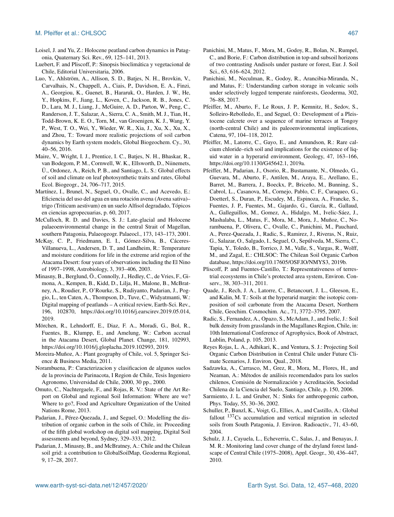# M. Pfeiffer et al.: CHLSOC 467

- Loisel, J. and Yu, Z.: Holocene peatland carbon dynamics in Patagonia, Quaternary Sci. Rev., 69, 125–141, 2013.
- Luebert, F. and Pliscoff, P.: Sinopsis bioclimática y vegetacional de Chile, Editorial Universitaria, 2006.
- Luo, Y., Ahlström, A., Allison, S. D., Batjes, N. H., Brovkin, V., Carvalhais, N., Chappell, A., Ciais, P., Davidson, E. A., Finzi, A., Georgiou, K., Guenet, B., Hararuk, O., Harden, J. W., He, Y., Hopkins, F., Jiang, L., Koven, C., Jackson, R. B., Jones, C. D., Lara, M. J., Liang, J., McGuire, A. D., Parton, W., Peng, C., Randerson, J. T., Salazar, A., Sierra, C. A., Smith, M. J., Tian, H., Todd-Brown, K. E. O., Torn, M., van Groenigen, K. J., Wang, Y. P., West, T. O., Wei, Y., Wieder, W. R., Xia, J., Xu, X., Xu, X., and Zhou, T.: Toward more realistic projections of soil carbon dynamics by Earth system models, Global Biogeochem. Cy., 30, 40–56, 2016.
- Maire, V., Wright, I. J., Prentice, I. C., Batjes, N. H., Bhaskar, R., van Bodegom, P. M., Cornwell, W. K., Ellsworth, D., Niinemets, Ü., Ordonez, A., Reich, P. B., and Santiago, L. S.: Global effects of soil and climate on leaf photosynthetic traits and rates, Global Ecol. Biogeogr., 24, 706–717, 2015.
- Martínez, I., Brunel, N., Seguel, O., Ovalle, C., and Acevedo, E.: Eficiencia del uso del agua en una rotación avena (Avena sativa)– trigo (Triticum aestivum) en un suelo Alfisol degradado, Tópicos en ciencias agropecuarias, p. 60, 2017.
- McCulloch, R. D. and Davies, S. J.: Late-glacial and Holocene palaeoenvironmental change in the central Strait of Magellan, southern Patagonia, Palaeogeogr. Palaeocl., 173, 143–173, 2001.
- McKay, C. P., Friedmann, E. I., Gómez-Silva, B., Cáceres-Villanueva, L., Andersen, D. T., and Landheim, R.: Temperature and moisture conditions for life in the extreme arid region of the Atacama Desert: four years of observations including the El Nino of 1997–1998, Astrobiology, 3, 393–406, 2003.
- Minasny, B., Berglund, Ö., Connolly, J., Hedley, C., de Vries, F., Gimona, A., Kempen, B., Kidd, D., Lilja, H., Malone, B., McBratney, A., Roudier, P., O'Rourke, S., Rudiyanto, Padarian, J., Poggio, L., ten Caten, A., Thompson, D., Tuve, C., Widyatmanti, W.: Digital mapping of peatlands – A critical review, Earth-Sci. Rev., 196, 102870, https://doi.org[/10.1016/j.earscirev.2019.05.014,](https://doi.org/10.1016/j.earscirev.2019.05.014) 2019.
- Mörchen, R., Lehndorff, E., Diaz, F. A., Moradi, G., Bol, R., Fuentes, B., Klumpp, E., and Amelung, W.: Carbon accrual in the Atacama Desert, Global Planet. Change, 181, 102993, https://doi.org[/10.1016/j.gloplacha.2019.102993,](https://doi.org/10.1016/j.gloplacha.2019.102993) 2019.
- Moreira-Muñoz, A.: Plant geography of Chile, vol. 5, Springer Science & Business Media, 2011.
- Norambuena, P.: Caracterizacion y clasificacion de algunos suelos de la provincia de Parinacota, I Region de Chile, Tesis Ingeniero Agronomo, Universidad de Chile, 2000, 30 pp., 2000.
- Omuto, C., Nachtergaele, F., and Rojas, R. V.: State of the Art Report on Global and regional Soil Information: Where are we? Where to go?, Food and Agriculture Organization of the United Nations Rome, 2013.
- Padarian, J., Pérez-Quezada, J., and Seguel, O.: Modelling the distribution of organic carbon in the soils of Chile, in: Proceeding of the fifth global workshop on digital soil mapping, Digital Soil assessments and beyond, Sydney, 329–333, 2012.
- Padarian, J., Minasny, B., and McBratney, A.: Chile and the Chilean soil grid: a contribution to GlobalSoilMap, Geoderma Regional, 9, 17–28, 2017.
- Panichini, M., Matus, F., Mora, M., Godoy, R., Bolan, N., Rumpel, C., and Borie, F.: Carbon distribution in top-and subsoil horizons of two contrasting Andisols under pasture or forest, Eur. J. Soil Sci., 63, 616–624, 2012.
- Panichini, M., Neculman, R., Godoy, R., Arancibia-Miranda, N., and Matus, F.: Understanding carbon storage in volcanic soils under selectively logged temperate rainforests, Geoderma, 302, 76–88, 2017.
- Pfeiffer, M., Aburto, F., Le Roux, J. P., Kemnitz, H., Sedov, S., Solleiro-Rebolledo, E., and Seguel, O.: Development of a Pleistocene calcrete over a sequence of marine terraces at Tongoy (north-central Chile) and its paleoenvironmental implications, Catena, 97, 104–118, 2012.
- Pfeiffer, M., Latorre, C., Gayo, E., and Amundson, R.: Rare calcium chloride–rich soil and implications for the existence of liquid water in a hyperarid environment, Geology, 47, 163–166, https://doi.org[/10.1130/G45642.1,](https://doi.org/10.1130/G45642.1) 2019a.
- Pfeiffer, M., Padarian, J., Osorio, R., Bustamante, N., Olmedo, G., Guevara, M., Aburto, F., Antilen, M., Araya, E., Arellano, E., Barret, M., Barrera, J., Boeckx, P., Briceño, M., Bunning, S., Cabrol, L., Casanova, M., Cornejo, Pablo, C. F., Curaqueo, G., Doetterl, S., Duran, P., Escudey, M., Espinoza, A., Francke, S., Fuentes, J. P., Fuentes, M., Gajardo, G., García, R., Gallaud, A., Galleguillos, M., Gomez, A., Hidalgo, M., Ivelic-Sáez, J., Mashalaba, L., Matus, F., Mora, M., Mora, J., Muñoz, C., Norambuena, P., Olivera, C., Ovalle, C., Panichini, M., Pauchard, A., Perez-Quezada, J., Radic, S., Ramirez, J., Riveras, N., Ruiz, G., Salazar, O., Salgado, I., Seguel, O., Sepúlveda, M., Sierra, C., Tapia, Y., Toledo, B., Torrico, J. M., Valle, S., Vargas, R., Wolff, M., and Zagal, E.: CHLSOC: The Chilean Soil Organic Carbon database, https://doi.org[/10.17605/OSF.IO/NMYS3,](https://doi.org/10.17605/OSF.IO/NMYS3) 2019b.
- Pliscoff, P. and Fuentes-Castillo, T.: Representativeness of terrestrial ecosystems in Chile's protected area system, Environ. Conserv., 38, 303–311, 2011.
- Quade, J., Rech, J. A., Latorre, C., Betancourt, J. L., Gleeson, E., and Kalin, M. T.: Soils at the hyperarid margin: the isotopic composition of soil carbonate from the Atacama Desert, Northern Chile, Geochim. Cosmochim. Ac., 71, 3772–3795, 2007.
- Radic, S., Fernandez, A., Opazo, S., McAdam, J., and Ivelic, J.: Soil bulk density from grasslands in the Magallanes Region, Chile, in: 10th International Conference of Agrophysics, Book of Abstract, Lublin, Poland, p. 105, 2013.
- Reyes Rojas, L. A., Adhikari, K., and Ventura, S. J.: Projecting Soil Organic Carbon Distribution in Central Chile under Future Climate Scenarios, J. Environ. Qual., 2018.
- Sadzawka, A., Carrasco, M., Grez, R., Mora, M., Flores, H., and Neaman, A.: Métodos de análisis recomendados para los suelos chilenos, Comisión de Normalización y Acreditación, Sociedad Chilena de la Ciencia del Suelo, Santiago, Chile, p. 150, 2006.
- Sarmiento, J. L. and Gruber, N.: Sinks for anthropogenic carbon, Phys. Today, 55, 30–36, 2002.
- Schuller, P., Bunzl, K., Voigt, G., Ellies, A., and Castillo, A.: Global fallout  $137Cs$  accumulation and vertical migration in selected soils from South Patagonia, J. Environ. Radioactiv., 71, 43–60, 2004.
- Schulz, J. J., Cayuela, L., Echeverria, C., Salas, J., and Benayas, J. M. R.: Monitoring land cover change of the dryland forest landscape of Central Chile (1975–2008), Appl. Geogr., 30, 436–447, 2010.